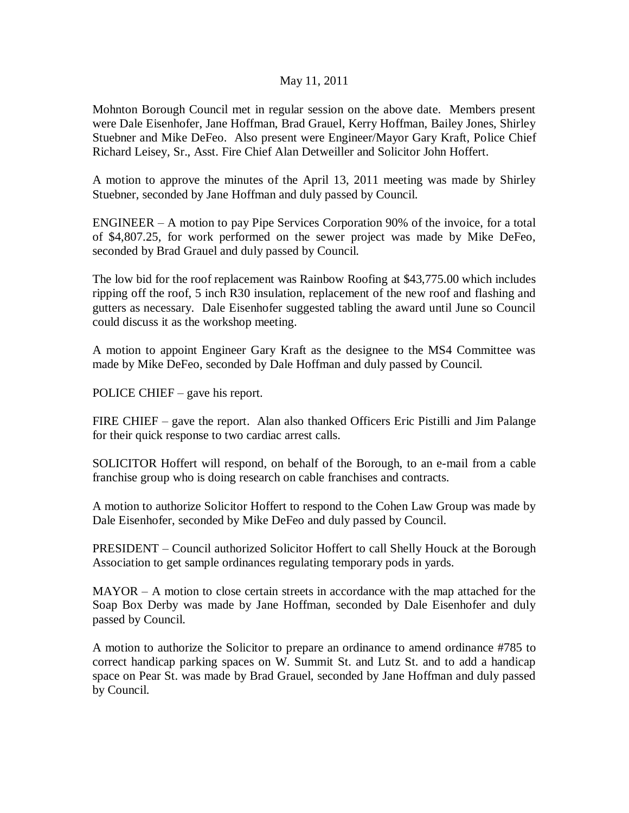## May 11, 2011

Mohnton Borough Council met in regular session on the above date. Members present were Dale Eisenhofer, Jane Hoffman, Brad Grauel, Kerry Hoffman, Bailey Jones, Shirley Stuebner and Mike DeFeo. Also present were Engineer/Mayor Gary Kraft, Police Chief Richard Leisey, Sr., Asst. Fire Chief Alan Detweiller and Solicitor John Hoffert.

A motion to approve the minutes of the April 13, 2011 meeting was made by Shirley Stuebner, seconded by Jane Hoffman and duly passed by Council.

ENGINEER – A motion to pay Pipe Services Corporation 90% of the invoice, for a total of \$4,807.25, for work performed on the sewer project was made by Mike DeFeo, seconded by Brad Grauel and duly passed by Council.

The low bid for the roof replacement was Rainbow Roofing at \$43,775.00 which includes ripping off the roof, 5 inch R30 insulation, replacement of the new roof and flashing and gutters as necessary. Dale Eisenhofer suggested tabling the award until June so Council could discuss it as the workshop meeting.

A motion to appoint Engineer Gary Kraft as the designee to the MS4 Committee was made by Mike DeFeo, seconded by Dale Hoffman and duly passed by Council.

POLICE CHIEF – gave his report.

FIRE CHIEF – gave the report. Alan also thanked Officers Eric Pistilli and Jim Palange for their quick response to two cardiac arrest calls.

SOLICITOR Hoffert will respond, on behalf of the Borough, to an e-mail from a cable franchise group who is doing research on cable franchises and contracts.

A motion to authorize Solicitor Hoffert to respond to the Cohen Law Group was made by Dale Eisenhofer, seconded by Mike DeFeo and duly passed by Council.

PRESIDENT – Council authorized Solicitor Hoffert to call Shelly Houck at the Borough Association to get sample ordinances regulating temporary pods in yards.

MAYOR – A motion to close certain streets in accordance with the map attached for the Soap Box Derby was made by Jane Hoffman, seconded by Dale Eisenhofer and duly passed by Council.

A motion to authorize the Solicitor to prepare an ordinance to amend ordinance #785 to correct handicap parking spaces on W. Summit St. and Lutz St. and to add a handicap space on Pear St. was made by Brad Grauel, seconded by Jane Hoffman and duly passed by Council.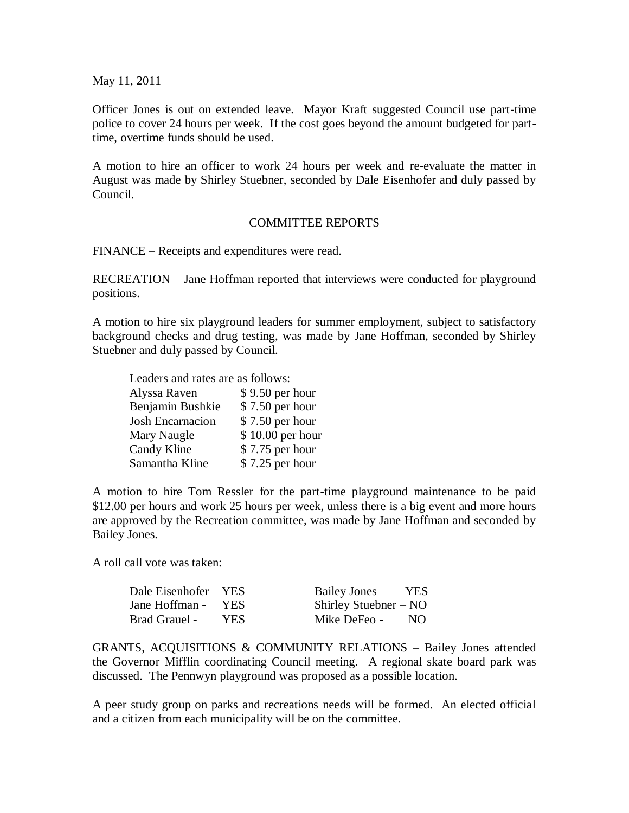May 11, 2011

Officer Jones is out on extended leave. Mayor Kraft suggested Council use part-time police to cover 24 hours per week. If the cost goes beyond the amount budgeted for parttime, overtime funds should be used.

A motion to hire an officer to work 24 hours per week and re-evaluate the matter in August was made by Shirley Stuebner, seconded by Dale Eisenhofer and duly passed by Council.

## COMMITTEE REPORTS

FINANCE – Receipts and expenditures were read.

RECREATION – Jane Hoffman reported that interviews were conducted for playground positions.

A motion to hire six playground leaders for summer employment, subject to satisfactory background checks and drug testing, was made by Jane Hoffman, seconded by Shirley Stuebner and duly passed by Council.

|  |  |  |  |  | Leaders and rates are as follows: |
|--|--|--|--|--|-----------------------------------|
|--|--|--|--|--|-----------------------------------|

| Alyssa Raven     | \$9.50 per hour  |
|------------------|------------------|
| Benjamin Bushkie | \$7.50 per hour  |
| Josh Encarnacion | \$7.50 per hour  |
| Mary Naugle      | \$10.00 per hour |
| Candy Kline      | \$7.75 per hour  |
| Samantha Kline   | \$7.25 per hour  |

A motion to hire Tom Ressler for the part-time playground maintenance to be paid \$12.00 per hours and work 25 hours per week, unless there is a big event and more hours are approved by the Recreation committee, was made by Jane Hoffman and seconded by Bailey Jones.

A roll call vote was taken:

| Dale Eisenhofer – YES |      | Bailey Jones –          | YES |
|-----------------------|------|-------------------------|-----|
| Jane Hoffman -        | YES. | Shirley Stuebner $-$ NO |     |
| <b>Brad Grauel -</b>  | YES. | Mike DeFeo -            | NO. |

GRANTS, ACQUISITIONS & COMMUNITY RELATIONS – Bailey Jones attended the Governor Mifflin coordinating Council meeting. A regional skate board park was discussed. The Pennwyn playground was proposed as a possible location.

A peer study group on parks and recreations needs will be formed. An elected official and a citizen from each municipality will be on the committee.